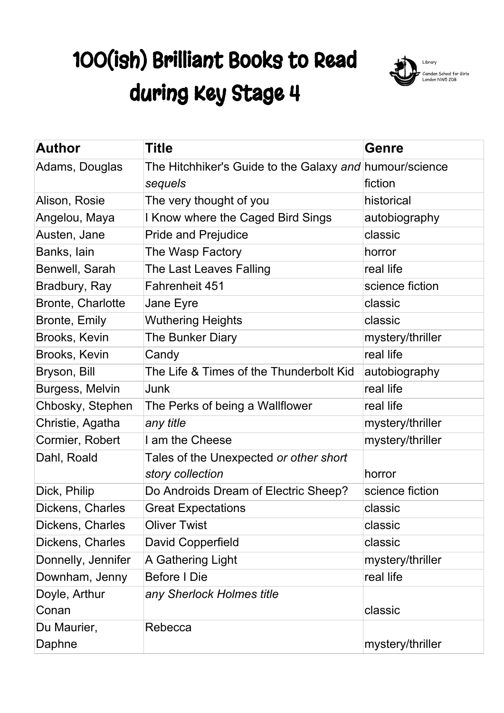## 100(ish) Brilliant Books to Read during Key Stage 4



| <b>Author</b>      | Title                                                   | <b>Genre</b>     |
|--------------------|---------------------------------------------------------|------------------|
| Adams, Douglas     | The Hitchhiker's Guide to the Galaxy and humour/science |                  |
|                    | sequels                                                 | fiction          |
| Alison, Rosie      | The very thought of you                                 | historical       |
| Angelou, Maya      | I Know where the Caged Bird Sings                       | autobiography    |
| Austen, Jane       | <b>Pride and Prejudice</b>                              | classic          |
| Banks, lain        | The Wasp Factory                                        | horror           |
| Benwell, Sarah     | The Last Leaves Falling                                 | real life        |
| Bradbury, Ray      | Fahrenheit 451                                          | science fiction  |
| Bronte, Charlotte  | Jane Eyre                                               | classic          |
| Bronte, Emily      | <b>Wuthering Heights</b>                                | classic          |
| Brooks, Kevin      | The Bunker Diary                                        | mystery/thriller |
| Brooks, Kevin      | Candy                                                   | real life        |
| Bryson, Bill       | The Life & Times of the Thunderbolt Kid                 | autobiography    |
| Burgess, Melvin    | Junk                                                    | real life        |
| Chbosky, Stephen   | The Perks of being a Wallflower                         | real life        |
| Christie, Agatha   | any title                                               | mystery/thriller |
| Cormier, Robert    | I am the Cheese                                         | mystery/thriller |
| Dahl, Roald        | Tales of the Unexpected or other short                  |                  |
|                    | story collection                                        | horror           |
| Dick, Philip       | Do Androids Dream of Electric Sheep?                    | science fiction  |
| Dickens, Charles   | <b>Great Expectations</b>                               | classic          |
| Dickens, Charles   | <b>Oliver Twist</b>                                     | classic          |
| Dickens, Charles   | David Copperfield                                       | classic          |
| Donnelly, Jennifer | A Gathering Light                                       | mystery/thriller |
| Downham, Jenny     | <b>Before I Die</b>                                     | real life        |
| Doyle, Arthur      | any Sherlock Holmes title                               |                  |
| Conan              |                                                         | classic          |
| Du Maurier,        | Rebecca                                                 |                  |
| Daphne             |                                                         | mystery/thriller |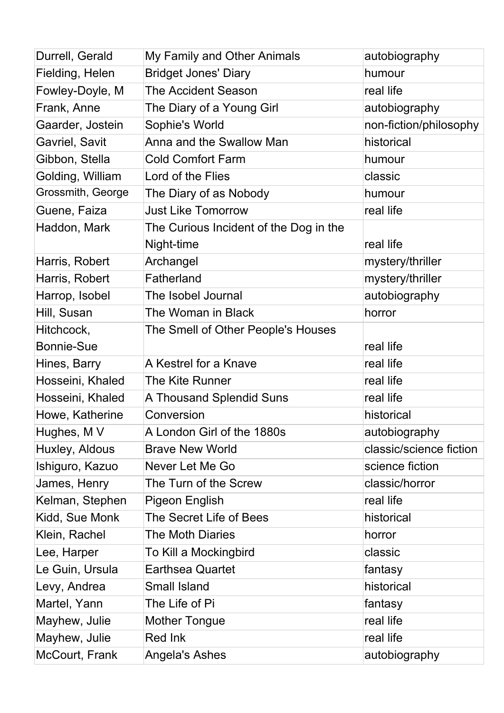| Durrell, Gerald   | My Family and Other Animals            | autobiography           |
|-------------------|----------------------------------------|-------------------------|
| Fielding, Helen   | <b>Bridget Jones' Diary</b>            | humour                  |
| Fowley-Doyle, M   | <b>The Accident Season</b>             | real life               |
| Frank, Anne       | The Diary of a Young Girl              | autobiography           |
| Gaarder, Jostein  | Sophie's World                         | non-fiction/philosophy  |
| Gavriel, Savit    | Anna and the Swallow Man               | historical              |
| Gibbon, Stella    | <b>Cold Comfort Farm</b>               | humour                  |
| Golding, William  | Lord of the Flies                      | classic                 |
| Grossmith, George | The Diary of as Nobody                 | humour                  |
| Guene, Faiza      | <b>Just Like Tomorrow</b>              | real life               |
| Haddon, Mark      | The Curious Incident of the Dog in the |                         |
|                   | Night-time                             | real life               |
| Harris, Robert    | Archangel                              | mystery/thriller        |
| Harris, Robert    | Fatherland                             | mystery/thriller        |
| Harrop, Isobel    | The Isobel Journal                     | autobiography           |
| Hill, Susan       | The Woman in Black                     | horror                  |
| Hitchcock,        | The Smell of Other People's Houses     |                         |
| <b>Bonnie-Sue</b> |                                        | real life               |
| Hines, Barry      | A Kestrel for a Knave                  | real life               |
| Hosseini, Khaled  | The Kite Runner                        | real life               |
| Hosseini, Khaled  | A Thousand Splendid Suns               | real life               |
| Howe, Katherine   | Conversion                             | historical              |
| Hughes, M V       | A London Girl of the 1880s             | autobiography           |
| Huxley, Aldous    | <b>Brave New World</b>                 | classic/science fiction |
| Ishiguro, Kazuo   | Never Let Me Go                        | science fiction         |
| James, Henry      | The Turn of the Screw                  | classic/horror          |
| Kelman, Stephen   | <b>Pigeon English</b>                  | real life               |
| Kidd, Sue Monk    | The Secret Life of Bees                | historical              |
| Klein, Rachel     | <b>The Moth Diaries</b>                | horror                  |
| Lee, Harper       | To Kill a Mockingbird                  | classic                 |
| Le Guin, Ursula   | <b>Earthsea Quartet</b>                | fantasy                 |
| Levy, Andrea      | <b>Small Island</b>                    | historical              |
| Martel, Yann      | The Life of Pi                         | fantasy                 |
| Mayhew, Julie     | <b>Mother Tongue</b>                   | real life               |
| Mayhew, Julie     | Red Ink                                | real life               |
| McCourt, Frank    | Angela's Ashes                         | autobiography           |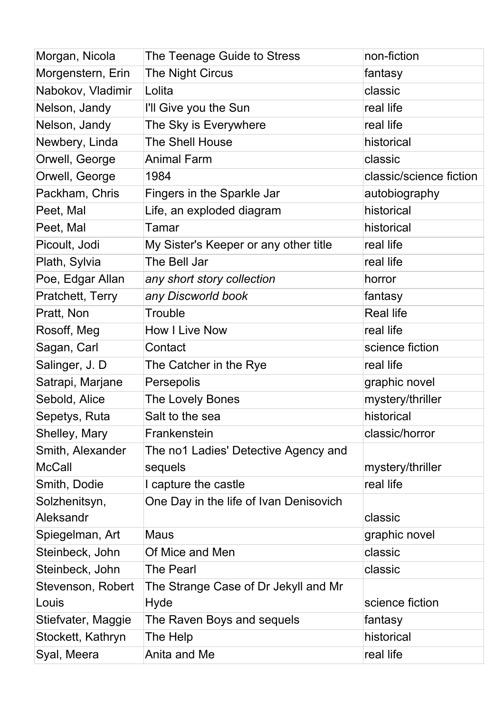| Morgan, Nicola     | The Teenage Guide to Stress            | non-fiction             |
|--------------------|----------------------------------------|-------------------------|
| Morgenstern, Erin  | The Night Circus                       | fantasy                 |
| Nabokov, Vladimir  | Lolita                                 | classic                 |
| Nelson, Jandy      | I'll Give you the Sun                  | real life               |
| Nelson, Jandy      | The Sky is Everywhere                  | real life               |
| Newbery, Linda     | <b>The Shell House</b>                 | historical              |
| Orwell, George     | <b>Animal Farm</b>                     | classic                 |
| Orwell, George     | 1984                                   | classic/science fiction |
| Packham, Chris     | Fingers in the Sparkle Jar             | autobiography           |
| Peet, Mal          | Life, an exploded diagram              | historical              |
| Peet, Mal          | Tamar                                  | historical              |
| Picoult, Jodi      | My Sister's Keeper or any other title  | real life               |
| Plath, Sylvia      | The Bell Jar                           | real life               |
| Poe, Edgar Allan   | any short story collection             | horror                  |
| Pratchett, Terry   | any Discworld book                     | fantasy                 |
| Pratt, Non         | <b>Trouble</b>                         | <b>Real life</b>        |
| Rosoff, Meg        | <b>How I Live Now</b>                  | real life               |
| Sagan, Carl        | Contact                                | science fiction         |
| Salinger, J. D     | The Catcher in the Rye                 | real life               |
| Satrapi, Marjane   | Persepolis                             | graphic novel           |
| Sebold, Alice      | The Lovely Bones                       | mystery/thriller        |
| Sepetys, Ruta      | Salt to the sea                        | historical              |
| Shelley, Mary      | Frankenstein                           | classic/horror          |
| Smith, Alexander   | The no1 Ladies' Detective Agency and   |                         |
| <b>McCall</b>      | sequels                                | mystery/thriller        |
| Smith, Dodie       | I capture the castle                   | real life               |
| Solzhenitsyn,      | One Day in the life of Ivan Denisovich |                         |
| Aleksandr          |                                        | classic                 |
| Spiegelman, Art    | Maus                                   | graphic novel           |
| Steinbeck, John    | Of Mice and Men                        | classic                 |
| Steinbeck, John    | <b>The Pearl</b>                       | classic                 |
| Stevenson, Robert  | The Strange Case of Dr Jekyll and Mr   |                         |
| Louis              | Hyde                                   | science fiction         |
| Stiefvater, Maggie | The Raven Boys and sequels             | fantasy                 |
| Stockett, Kathryn  | The Help                               | historical              |
| Syal, Meera        | Anita and Me                           | real life               |